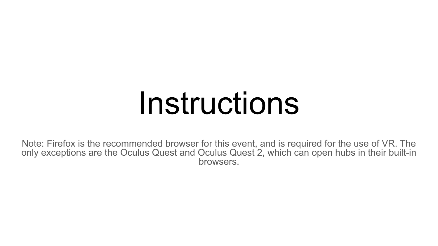## Instructions

Note: Firefox is the recommended browser for this event, and is required for the use of VR. The only exceptions are the Oculus Quest and Oculus Quest 2, which can open hubs in their built-in browsers.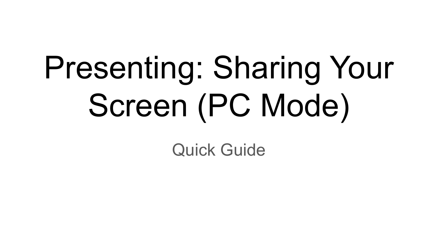# Presenting: Sharing Your Screen (PC Mode)

Quick Guide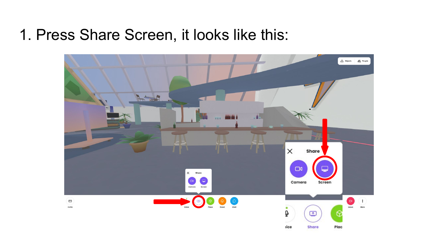#### 1. Press Share Screen, it looks like this:

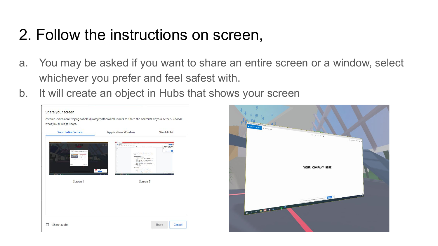#### 2. Follow the instructions on screen,

- a. You may be asked if you want to share an entire screen or a window, select whichever you prefer and feel safest with.
- b. It will create an object in Hubs that shows your screen

| <b>Your Entire Screen</b> | <b>Application Window</b>                                                                                                                                                                                                                                                                                                                                                                                                                                                                                                                                                                                                                                                                                                                                                                                                                                                                                                                                                                                                                                                                                                                                                                                      | Vivaldi Tab                                                       |
|---------------------------|----------------------------------------------------------------------------------------------------------------------------------------------------------------------------------------------------------------------------------------------------------------------------------------------------------------------------------------------------------------------------------------------------------------------------------------------------------------------------------------------------------------------------------------------------------------------------------------------------------------------------------------------------------------------------------------------------------------------------------------------------------------------------------------------------------------------------------------------------------------------------------------------------------------------------------------------------------------------------------------------------------------------------------------------------------------------------------------------------------------------------------------------------------------------------------------------------------------|-------------------------------------------------------------------|
| $1 - 0$                   | <b>Big 40 Miles</b><br>$\frac{1}{2}\frac{1}{2} \sum_{i=1}^n \sum_{j=1}^n \sum_{j=1}^n \sum_{j=1}^n \sum_{j=1}^n \sum_{j=1}^n \sum_{j=1}^n \sum_{j=1}^n \sum_{j=1}^n \sum_{j=1}^n \sum_{j=1}^n \sum_{j=1}^n \sum_{j=1}^n \sum_{j=1}^n \sum_{j=1}^n \sum_{j=1}^n \sum_{j=1}^n \sum_{j=1}^n \sum_{j=1}^n \sum_{j=1}^n \sum_{j=1}^n \sum_{j=1}^n \sum_{j=1}^n$<br><b>POS CO</b><br><b>CONTRACTOR</b><br>$\label{eq:3.1} \frac{\partial}{\partial t} \frac{\partial}{\partial x} \frac{\partial}{\partial x} + \frac{\partial}{\partial x} \frac{\partial}{\partial x} \frac{\partial}{\partial x} + \frac{\partial}{\partial x} \frac{\partial}{\partial x} \frac{\partial}{\partial x} + \frac{\partial}{\partial x} \frac{\partial}{\partial x} \frac{\partial}{\partial x} + \frac{\partial}{\partial x} \frac{\partial}{\partial x} \frac{\partial}{\partial x} + \frac{\partial}{\partial x} \frac{\partial}{\partial x} \frac{\partial}{\partial x} + \frac{\partial}{\partial x} \frac{\partial}{\partial x} \frac{\partial}{\partial x} + \frac{\partial}{\partial x} \frac{\partial}{\$<br>METODAK 11<br><b>COLLECTION</b><br>expo means are in any<br><b>Telecommunication</b><br>a se constante<br>1.14 | <b>STORY AN</b><br><b>LEATHER MARINE</b><br>Call Green<br>dia sin |
| $9.9.5 - 5$<br>Screen 1   | With a growth of<br>$\alpha$ and $\alpha$<br>iyaran k<br>Screen <sub>2</sub>                                                                                                                                                                                                                                                                                                                                                                                                                                                                                                                                                                                                                                                                                                                                                                                                                                                                                                                                                                                                                                                                                                                                   |                                                                   |
|                           |                                                                                                                                                                                                                                                                                                                                                                                                                                                                                                                                                                                                                                                                                                                                                                                                                                                                                                                                                                                                                                                                                                                                                                                                                |                                                                   |

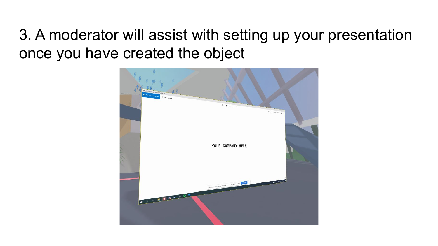#### 3. A moderator will assist with setting up your presentation once you have created the object

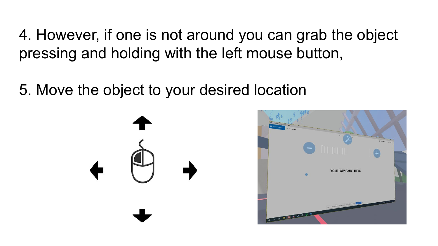4. However, if one is not around you can grab the object pressing and holding with the left mouse button,

5. Move the object to your desired location



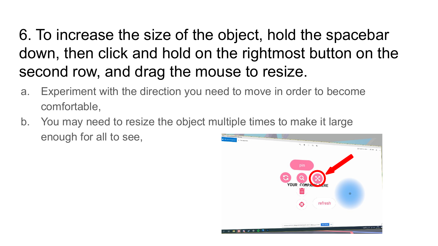### 6. To increase the size of the object, hold the spacebar down, then click and hold on the rightmost button on the second row, and drag the mouse to resize.

- a. Experiment with the direction you need to move in order to become comfortable,
- b. You may need to resize the object multiple times to make it large enough for all to see,